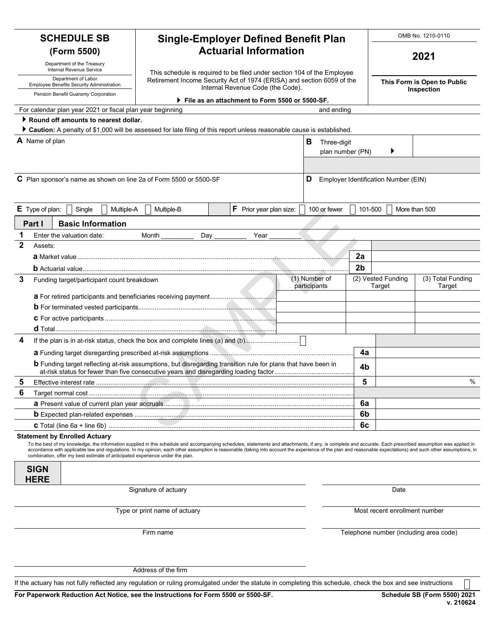|                                                                  |                                                     |                                      |                                                           |                                                                             |                                                                                                                                                               |  |                                                                      |                               |                                           |                             |  |                                                             | OMB No. 1210-0110                                                                                                                                                                                                                                                                                                                                                                                                            |  |  |
|------------------------------------------------------------------|-----------------------------------------------------|--------------------------------------|-----------------------------------------------------------|-----------------------------------------------------------------------------|---------------------------------------------------------------------------------------------------------------------------------------------------------------|--|----------------------------------------------------------------------|-------------------------------|-------------------------------------------|-----------------------------|--|-------------------------------------------------------------|------------------------------------------------------------------------------------------------------------------------------------------------------------------------------------------------------------------------------------------------------------------------------------------------------------------------------------------------------------------------------------------------------------------------------|--|--|
| <b>SCHEDULE SB</b>                                               |                                                     |                                      |                                                           | <b>Single-Employer Defined Benefit Plan</b><br><b>Actuarial Information</b> |                                                                                                                                                               |  |                                                                      |                               |                                           |                             |  |                                                             |                                                                                                                                                                                                                                                                                                                                                                                                                              |  |  |
| (Form 5500)<br>Department of the Treasury                        |                                                     |                                      |                                                           |                                                                             |                                                                                                                                                               |  |                                                                      |                               |                                           |                             |  |                                                             | 2021                                                                                                                                                                                                                                                                                                                                                                                                                         |  |  |
| Internal Revenue Service                                         |                                                     |                                      |                                                           |                                                                             | This schedule is required to be filed under section 104 of the Employee                                                                                       |  |                                                                      |                               |                                           |                             |  |                                                             |                                                                                                                                                                                                                                                                                                                                                                                                                              |  |  |
| Department of Labor<br>Employee Benefits Security Administration |                                                     |                                      |                                                           |                                                                             | Retirement Income Security Act of 1974 (ERISA) and section 6059 of the                                                                                        |  | Internal Revenue Code (the Code).                                    |                               |                                           | This Form is Open to Public |  |                                                             |                                                                                                                                                                                                                                                                                                                                                                                                                              |  |  |
|                                                                  |                                                     | Pension Benefit Guaranty Corporation |                                                           |                                                                             |                                                                                                                                                               |  | $\blacktriangleright$ File as an attachment to Form 5500 or 5500-SF. |                               |                                           |                             |  | Inspection                                                  |                                                                                                                                                                                                                                                                                                                                                                                                                              |  |  |
|                                                                  |                                                     |                                      | For calendar plan year 2021 or fiscal plan year beginning |                                                                             |                                                                                                                                                               |  |                                                                      |                               | and ending                                |                             |  |                                                             |                                                                                                                                                                                                                                                                                                                                                                                                                              |  |  |
|                                                                  |                                                     |                                      | Round off amounts to nearest dollar.                      |                                                                             |                                                                                                                                                               |  |                                                                      |                               |                                           |                             |  |                                                             |                                                                                                                                                                                                                                                                                                                                                                                                                              |  |  |
|                                                                  |                                                     |                                      |                                                           |                                                                             | Caution: A penalty of \$1,000 will be assessed for late filing of this report unless reasonable cause is established.                                         |  |                                                                      |                               |                                           |                             |  |                                                             |                                                                                                                                                                                                                                                                                                                                                                                                                              |  |  |
|                                                                  | A Name of plan                                      |                                      |                                                           |                                                                             |                                                                                                                                                               |  |                                                                      |                               | В<br>Three-digit<br>Þ<br>plan number (PN) |                             |  |                                                             |                                                                                                                                                                                                                                                                                                                                                                                                                              |  |  |
|                                                                  |                                                     |                                      |                                                           |                                                                             |                                                                                                                                                               |  |                                                                      |                               |                                           |                             |  |                                                             |                                                                                                                                                                                                                                                                                                                                                                                                                              |  |  |
|                                                                  |                                                     |                                      |                                                           |                                                                             |                                                                                                                                                               |  |                                                                      |                               |                                           |                             |  |                                                             |                                                                                                                                                                                                                                                                                                                                                                                                                              |  |  |
|                                                                  |                                                     |                                      |                                                           |                                                                             | C Plan sponsor's name as shown on line 2a of Form 5500 or 5500-SF                                                                                             |  |                                                                      |                               | D<br>Employer Identification Number (EIN) |                             |  |                                                             |                                                                                                                                                                                                                                                                                                                                                                                                                              |  |  |
|                                                                  | $E$ Type of plan:                                   | Single                               | Multiple-A                                                |                                                                             | Multiple-B                                                                                                                                                    |  | F Prior year plan size:                                              |                               | 100 or fewer                              | 101-500                     |  |                                                             | More than 500                                                                                                                                                                                                                                                                                                                                                                                                                |  |  |
|                                                                  | Part I                                              | <b>Basic Information</b>             |                                                           |                                                                             |                                                                                                                                                               |  |                                                                      |                               |                                           |                             |  |                                                             |                                                                                                                                                                                                                                                                                                                                                                                                                              |  |  |
| 1                                                                |                                                     | Enter the valuation date:            |                                                           | Month                                                                       | Day                                                                                                                                                           |  | Year                                                                 |                               |                                           |                             |  |                                                             |                                                                                                                                                                                                                                                                                                                                                                                                                              |  |  |
| $\mathbf 2$                                                      | Assets:                                             |                                      |                                                           |                                                                             |                                                                                                                                                               |  |                                                                      |                               |                                           |                             |  |                                                             |                                                                                                                                                                                                                                                                                                                                                                                                                              |  |  |
|                                                                  |                                                     |                                      |                                                           |                                                                             |                                                                                                                                                               |  |                                                                      |                               |                                           | 2a                          |  |                                                             |                                                                                                                                                                                                                                                                                                                                                                                                                              |  |  |
|                                                                  |                                                     |                                      |                                                           |                                                                             |                                                                                                                                                               |  |                                                                      |                               |                                           | 2 <sub>b</sub>              |  |                                                             |                                                                                                                                                                                                                                                                                                                                                                                                                              |  |  |
| 3                                                                | Funding target/participant count breakdown          |                                      |                                                           |                                                                             |                                                                                                                                                               |  |                                                                      | (1) Number of<br>participants |                                           |                             |  | (2) Vested Funding<br>(3) Total Funding<br>Target<br>Target |                                                                                                                                                                                                                                                                                                                                                                                                                              |  |  |
|                                                                  |                                                     |                                      |                                                           |                                                                             |                                                                                                                                                               |  |                                                                      |                               |                                           |                             |  |                                                             |                                                                                                                                                                                                                                                                                                                                                                                                                              |  |  |
|                                                                  |                                                     |                                      |                                                           |                                                                             |                                                                                                                                                               |  |                                                                      |                               |                                           |                             |  |                                                             |                                                                                                                                                                                                                                                                                                                                                                                                                              |  |  |
|                                                                  |                                                     |                                      |                                                           |                                                                             |                                                                                                                                                               |  |                                                                      |                               |                                           |                             |  |                                                             |                                                                                                                                                                                                                                                                                                                                                                                                                              |  |  |
| 4                                                                |                                                     |                                      |                                                           |                                                                             |                                                                                                                                                               |  |                                                                      |                               |                                           |                             |  |                                                             |                                                                                                                                                                                                                                                                                                                                                                                                                              |  |  |
|                                                                  |                                                     |                                      |                                                           |                                                                             | If the plan is in at-risk status, check the box and complete lines (a) and (b)                                                                                |  |                                                                      |                               |                                           |                             |  |                                                             |                                                                                                                                                                                                                                                                                                                                                                                                                              |  |  |
|                                                                  |                                                     |                                      |                                                           |                                                                             | <b>b</b> Funding target reflecting at-risk assumptions, but disregarding transition rule for plans that have been in                                          |  |                                                                      |                               |                                           | 4a<br>4b                    |  |                                                             |                                                                                                                                                                                                                                                                                                                                                                                                                              |  |  |
| 5                                                                |                                                     |                                      |                                                           |                                                                             |                                                                                                                                                               |  |                                                                      |                               | 5                                         |                             |  | %                                                           |                                                                                                                                                                                                                                                                                                                                                                                                                              |  |  |
| 6                                                                |                                                     |                                      |                                                           |                                                                             |                                                                                                                                                               |  |                                                                      |                               |                                           |                             |  |                                                             |                                                                                                                                                                                                                                                                                                                                                                                                                              |  |  |
|                                                                  |                                                     |                                      |                                                           |                                                                             |                                                                                                                                                               |  |                                                                      |                               |                                           | 6a                          |  |                                                             |                                                                                                                                                                                                                                                                                                                                                                                                                              |  |  |
|                                                                  |                                                     |                                      |                                                           |                                                                             |                                                                                                                                                               |  |                                                                      |                               |                                           | 6b                          |  |                                                             |                                                                                                                                                                                                                                                                                                                                                                                                                              |  |  |
|                                                                  |                                                     |                                      |                                                           |                                                                             |                                                                                                                                                               |  |                                                                      |                               |                                           | 6c                          |  |                                                             |                                                                                                                                                                                                                                                                                                                                                                                                                              |  |  |
|                                                                  | <b>Statement by Enrolled Actuary</b><br><b>SIGN</b> |                                      |                                                           |                                                                             | combination, offer my best estimate of anticipated experience under the plan.                                                                                 |  |                                                                      |                               |                                           |                             |  |                                                             | To the best of my knowledge, the information supplied in this schedule and accompanying schedules, statements and attachments, if any, is complete and accurate. Each prescribed assumption was applied in<br>accordance with applicable law and regulations. In my opinion, each other assumption is reasonable (taking into account the experience of the plan and reasonable expectations) and such other assumptions, in |  |  |
|                                                                  | <b>HERE</b>                                         |                                      |                                                           |                                                                             |                                                                                                                                                               |  |                                                                      |                               |                                           |                             |  |                                                             |                                                                                                                                                                                                                                                                                                                                                                                                                              |  |  |
| Signature of actuary                                             |                                                     |                                      |                                                           |                                                                             |                                                                                                                                                               |  |                                                                      |                               |                                           | Date                        |  |                                                             |                                                                                                                                                                                                                                                                                                                                                                                                                              |  |  |
|                                                                  |                                                     |                                      |                                                           |                                                                             | Type or print name of actuary                                                                                                                                 |  |                                                                      |                               |                                           |                             |  |                                                             | Most recent enrollment number                                                                                                                                                                                                                                                                                                                                                                                                |  |  |
|                                                                  |                                                     |                                      |                                                           |                                                                             | Firm name                                                                                                                                                     |  |                                                                      |                               |                                           |                             |  |                                                             | Telephone number (including area code)                                                                                                                                                                                                                                                                                                                                                                                       |  |  |
|                                                                  |                                                     |                                      |                                                           |                                                                             | Address of the firm                                                                                                                                           |  |                                                                      |                               |                                           |                             |  |                                                             |                                                                                                                                                                                                                                                                                                                                                                                                                              |  |  |
|                                                                  |                                                     |                                      |                                                           |                                                                             | If the actuary has not fully reflected any regulation or ruling promulgated under the statute in completing this schedule, check the box and see instructions |  |                                                                      |                               |                                           |                             |  |                                                             |                                                                                                                                                                                                                                                                                                                                                                                                                              |  |  |
|                                                                  |                                                     |                                      |                                                           |                                                                             | For Paperwork Reduction Act Notice, see the Instructions for Form 5500 or 5500-SF.                                                                            |  |                                                                      |                               |                                           |                             |  |                                                             | <b>Schedule SB (Form 5500) 2021</b><br>v. 210624                                                                                                                                                                                                                                                                                                                                                                             |  |  |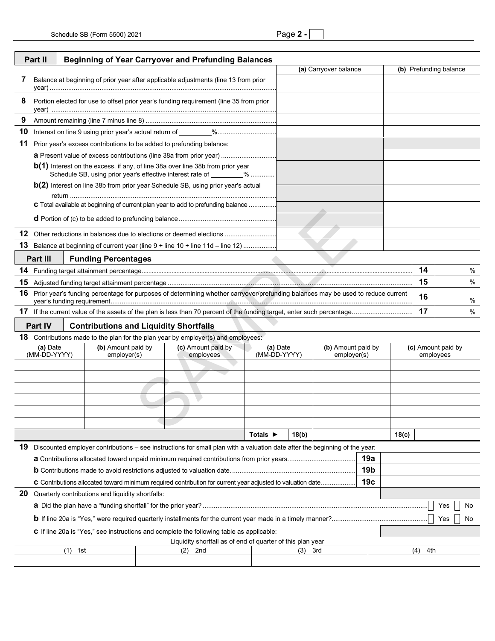|--|--|

| <b>Beginning of Year Carryover and Prefunding Balances</b><br>Part II                                                                |                                                                                                                                                          |                       |                                               |  |                                                                                          |                             |          |  |                    |                        |           |                    |  |   |
|--------------------------------------------------------------------------------------------------------------------------------------|----------------------------------------------------------------------------------------------------------------------------------------------------------|-----------------------|-----------------------------------------------|--|------------------------------------------------------------------------------------------|-----------------------------|----------|--|--------------------|------------------------|-----------|--------------------|--|---|
|                                                                                                                                      |                                                                                                                                                          | (a) Carryover balance |                                               |  |                                                                                          |                             |          |  |                    | (b) Prefunding balance |           |                    |  |   |
| 7                                                                                                                                    | Balance at beginning of prior year after applicable adjustments (line 13 from prior                                                                      |                       |                                               |  |                                                                                          |                             |          |  |                    |                        |           |                    |  |   |
|                                                                                                                                      |                                                                                                                                                          |                       |                                               |  |                                                                                          |                             |          |  |                    |                        |           |                    |  |   |
| 8                                                                                                                                    | Portion elected for use to offset prior year's funding requirement (line 35 from prior                                                                   |                       |                                               |  |                                                                                          |                             |          |  |                    |                        |           |                    |  |   |
| 9                                                                                                                                    |                                                                                                                                                          |                       |                                               |  |                                                                                          |                             |          |  |                    |                        |           |                    |  |   |
| 10                                                                                                                                   |                                                                                                                                                          |                       |                                               |  |                                                                                          |                             |          |  |                    |                        |           |                    |  |   |
| 11                                                                                                                                   | Prior year's excess contributions to be added to prefunding balance:                                                                                     |                       |                                               |  |                                                                                          |                             |          |  |                    |                        |           |                    |  |   |
|                                                                                                                                      |                                                                                                                                                          |                       |                                               |  |                                                                                          |                             |          |  |                    |                        |           |                    |  |   |
|                                                                                                                                      | $b(1)$ Interest on the excess, if any, of line 38a over line 38b from prior year<br>Schedule SB, using prior year's effective interest rate of ________% |                       |                                               |  |                                                                                          |                             |          |  |                    |                        |           |                    |  |   |
| b(2) Interest on line 38b from prior year Schedule SB, using prior year's actual                                                     |                                                                                                                                                          |                       |                                               |  |                                                                                          |                             |          |  |                    |                        |           |                    |  |   |
|                                                                                                                                      | C Total available at beginning of current plan year to add to prefunding balance                                                                         |                       |                                               |  |                                                                                          |                             |          |  |                    |                        |           |                    |  |   |
|                                                                                                                                      |                                                                                                                                                          |                       |                                               |  |                                                                                          |                             |          |  |                    |                        |           |                    |  |   |
|                                                                                                                                      |                                                                                                                                                          |                       |                                               |  | 12 Other reductions in balances due to elections or deemed elections                     |                             |          |  |                    |                        |           |                    |  |   |
|                                                                                                                                      |                                                                                                                                                          |                       |                                               |  | 13 Balance at beginning of current year (line 9 + line 10 + line 11d – line 12)          |                             |          |  |                    |                        |           |                    |  |   |
|                                                                                                                                      | Part III                                                                                                                                                 |                       |                                               |  |                                                                                          |                             |          |  |                    |                        |           |                    |  |   |
|                                                                                                                                      | <b>Funding Percentages</b><br>14                                                                                                                         |                       |                                               |  |                                                                                          |                             |          |  |                    |                        |           | %                  |  |   |
|                                                                                                                                      |                                                                                                                                                          |                       |                                               |  |                                                                                          |                             |          |  |                    |                        |           | 15                 |  | % |
| 16                                                                                                                                   | Prior year's funding percentage for purposes of determining whether carryover/prefunding balances may be used to reduce current<br>16                    |                       |                                               |  |                                                                                          |                             |          |  |                    |                        |           |                    |  |   |
|                                                                                                                                      | 17                                                                                                                                                       |                       |                                               |  |                                                                                          |                             |          |  |                    |                        | %<br>$\%$ |                    |  |   |
|                                                                                                                                      | Part IV                                                                                                                                                  |                       | <b>Contributions and Liquidity Shortfalls</b> |  |                                                                                          |                             |          |  |                    |                        |           |                    |  |   |
|                                                                                                                                      |                                                                                                                                                          |                       |                                               |  | <b>18</b> Contributions made to the plan for the plan year by employer(s) and employees: |                             |          |  |                    |                        |           |                    |  |   |
|                                                                                                                                      | (a) Date                                                                                                                                                 |                       | (b) Amount paid by                            |  | (c) Amount paid by                                                                       |                             | (a) Date |  | (b) Amount paid by |                        |           | (c) Amount paid by |  |   |
|                                                                                                                                      | (MM-DD-YYYY)                                                                                                                                             |                       | employer(s)<br>employees                      |  |                                                                                          | (MM-DD-YYYY)<br>employer(s) |          |  |                    |                        | employees |                    |  |   |
|                                                                                                                                      |                                                                                                                                                          |                       |                                               |  |                                                                                          |                             |          |  |                    |                        |           |                    |  |   |
|                                                                                                                                      |                                                                                                                                                          |                       |                                               |  |                                                                                          |                             |          |  |                    |                        |           |                    |  |   |
|                                                                                                                                      |                                                                                                                                                          |                       |                                               |  |                                                                                          |                             |          |  |                    |                        |           |                    |  |   |
|                                                                                                                                      |                                                                                                                                                          |                       |                                               |  |                                                                                          |                             |          |  |                    |                        |           |                    |  |   |
|                                                                                                                                      |                                                                                                                                                          |                       |                                               |  |                                                                                          |                             |          |  |                    |                        |           |                    |  |   |
|                                                                                                                                      |                                                                                                                                                          |                       |                                               |  |                                                                                          |                             |          |  |                    |                        |           |                    |  |   |
|                                                                                                                                      | Totals $\blacktriangleright$<br>18(b)<br>18(c)                                                                                                           |                       |                                               |  |                                                                                          |                             |          |  |                    |                        |           |                    |  |   |
| 19 Discounted employer contributions - see instructions for small plan with a valuation date after the beginning of the year:<br>19a |                                                                                                                                                          |                       |                                               |  |                                                                                          |                             |          |  |                    |                        |           |                    |  |   |
| 19 <sub>b</sub>                                                                                                                      |                                                                                                                                                          |                       |                                               |  |                                                                                          |                             |          |  |                    |                        |           |                    |  |   |
| 19 <sub>c</sub><br>C Contributions allocated toward minimum required contribution for current year adjusted to valuation date        |                                                                                                                                                          |                       |                                               |  |                                                                                          |                             |          |  |                    |                        |           |                    |  |   |
| 20 Quarterly contributions and liquidity shortfalls:                                                                                 |                                                                                                                                                          |                       |                                               |  |                                                                                          |                             |          |  |                    |                        |           |                    |  |   |
|                                                                                                                                      |                                                                                                                                                          |                       |                                               |  |                                                                                          |                             |          |  |                    | Yes                    | No        |                    |  |   |
|                                                                                                                                      |                                                                                                                                                          |                       |                                               |  |                                                                                          |                             |          |  |                    | Yes                    | No        |                    |  |   |
|                                                                                                                                      |                                                                                                                                                          |                       |                                               |  | C If line 20a is "Yes," see instructions and complete the following table as applicable: |                             |          |  |                    |                        |           |                    |  |   |
|                                                                                                                                      |                                                                                                                                                          |                       |                                               |  | Liquidity shortfall as of end of quarter of this plan year                               |                             |          |  |                    |                        |           |                    |  |   |
| $(1)$ 1st<br>2nd<br>3rd<br>(2)<br>(3)                                                                                                |                                                                                                                                                          |                       |                                               |  |                                                                                          |                             |          |  | (4)<br>4th         |                        |           |                    |  |   |
|                                                                                                                                      |                                                                                                                                                          |                       |                                               |  |                                                                                          |                             |          |  |                    |                        |           |                    |  |   |